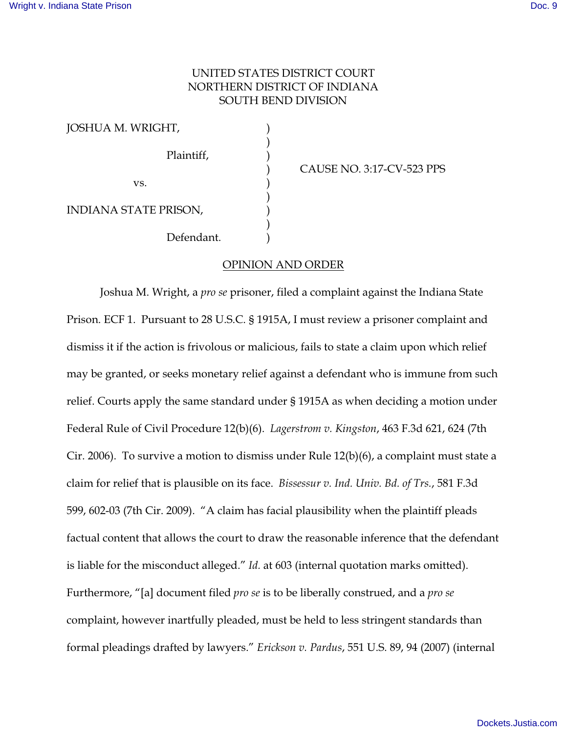## UNITED STATES DISTRICT COURT NORTHERN DISTRICT OF INDIANA SOUTH BEND DIVISION

)

)

)

JOSHUA M. WRIGHT, ) Plaintiff, )  $\mathbf{v}\mathbf{s}$ .  $\qquad \qquad \mathbf{v}\mathbf{s}$ .  $\qquad \qquad$ INDIANA STATE PRISON, ) Defendant.

) CAUSE NO. 3:17-CV-523 PPS

## OPINION AND ORDER

Joshua M. Wright, a *pro se* prisoner, filed a complaint against the Indiana State Prison. ECF 1. Pursuant to 28 U.S.C. § 1915A, I must review a prisoner complaint and dismiss it if the action is frivolous or malicious, fails to state a claim upon which relief may be granted, or seeks monetary relief against a defendant who is immune from such relief. Courts apply the same standard under § 1915A as when deciding a motion under Federal Rule of Civil Procedure 12(b)(6). *Lagerstrom v. Kingston*, 463 F.3d 621, 624 (7th Cir. 2006). To survive a motion to dismiss under Rule 12(b)(6), a complaint must state a claim for relief that is plausible on its face. *Bissessur v. Ind. Univ. Bd. of Trs.*, 581 F.3d 599, 602-03 (7th Cir. 2009). "A claim has facial plausibility when the plaintiff pleads factual content that allows the court to draw the reasonable inference that the defendant is liable for the misconduct alleged." *Id.* at 603 (internal quotation marks omitted). Furthermore, "[a] document filed *pro se* is to be liberally construed, and a *pro se* complaint, however inartfully pleaded, must be held to less stringent standards than formal pleadings drafted by lawyers." *Erickson v. Pardus*, 551 U.S. 89, 94 (2007) (internal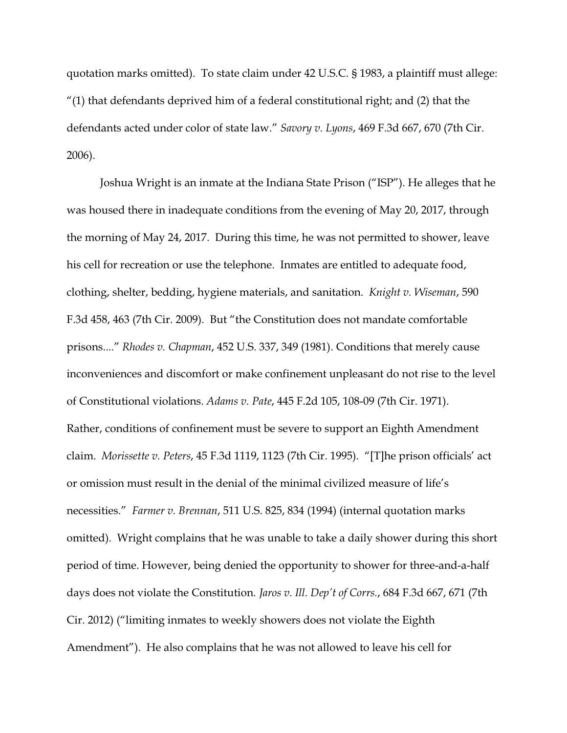quotation marks omitted). To state claim under 42 U.S.C. § 1983, a plaintiff must allege:  $''(1)$  that defendants deprived him of a federal constitutional right; and  $(2)$  that the defendants acted under color of state law." *Savory v. Lyons*, 469 F.3d 667, 670 (7th Cir. 2006).

Joshua Wright is an inmate at the Indiana State Prison ("ISP"). He alleges that he was housed there in inadequate conditions from the evening of May 20, 2017, through the morning of May 24, 2017. During this time, he was not permitted to shower, leave his cell for recreation or use the telephone. Inmates are entitled to adequate food, clothing, shelter, bedding, hygiene materials, and sanitation. *Knight v. Wiseman*, 590 F.3d 458, 463 (7th Cir. 2009). But "the Constitution does not mandate comfortable prisons...." *Rhodes v. Chapman*, 452 U.S. 337, 349 (1981). Conditions that merely cause inconveniences and discomfort or make confinement unpleasant do not rise to the level of Constitutional violations. *Adams v. Pate*, 445 F.2d 105, 108-09 (7th Cir. 1971). Rather, conditions of confinement must be severe to support an Eighth Amendment claim. *Morissette v. Peters*, 45 F.3d 1119, 1123 (7th Cir. 1995). "[T]he prison officials' act or omission must result in the denial of the minimal civilized measure of life's necessities." *Farmer v. Brennan*, 511 U.S. 825, 834 (1994) (internal quotation marks omitted). Wright complains that he was unable to take a daily shower during this short period of time. However, being denied the opportunity to shower for three-and-a-half days does not violate the Constitution. *Jaros v. Ill. Dep't of Corrs.*, 684 F.3d 667, 671 (7th Cir. 2012) ("limiting inmates to weekly showers does not violate the Eighth Amendment"). He also complains that he was not allowed to leave his cell for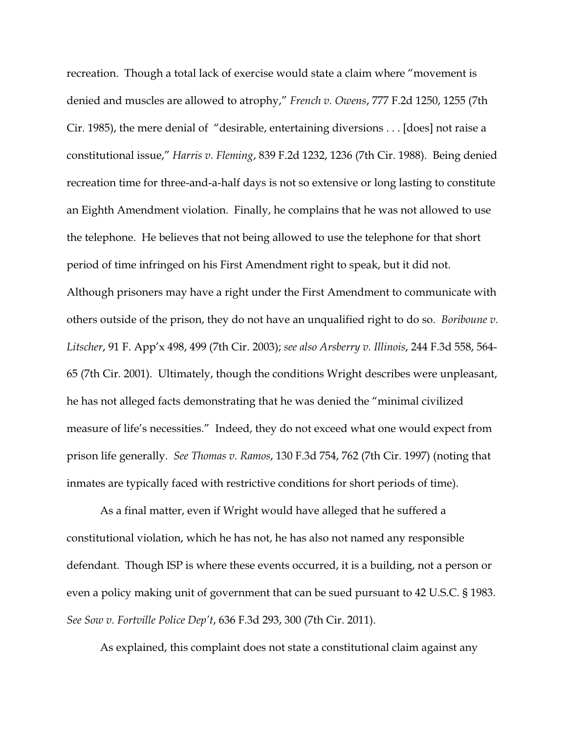recreation. Though a total lack of exercise would state a claim where "movement is denied and muscles are allowed to atrophy," *French v. Owens*, 777 F.2d 1250, 1255 (7th Cir. 1985), the mere denial of "desirable, entertaining diversions . . . [does] not raise a constitutional issue," *Harris v. Fleming*, 839 F.2d 1232, 1236 (7th Cir. 1988). Being denied recreation time for three-and-a-half days is not so extensive or long lasting to constitute an Eighth Amendment violation. Finally, he complains that he was not allowed to use the telephone. He believes that not being allowed to use the telephone for that short period of time infringed on his First Amendment right to speak, but it did not. Although prisoners may have a right under the First Amendment to communicate with others outside of the prison, they do not have an unqualified right to do so. *Boriboune v. Litscher*, 91 F. App'x 498, 499 (7th Cir. 2003); *see also Arsberry v. Illinois*, 244 F.3d 558, 564- 65 (7th Cir. 2001). Ultimately, though the conditions Wright describes were unpleasant, he has not alleged facts demonstrating that he was denied the "minimal civilized measure of life's necessities." Indeed, they do not exceed what one would expect from prison life generally. *See Thomas v. Ramos*, 130 F.3d 754, 762 (7th Cir. 1997) (noting that inmates are typically faced with restrictive conditions for short periods of time).

As a final matter, even if Wright would have alleged that he suffered a constitutional violation, which he has not, he has also not named any responsible defendant. Though ISP is where these events occurred, it is a building, not a person or even a policy making unit of government that can be sued pursuant to 42 U.S.C. § 1983. *See Sow v. Fortville Police Dep't*, 636 F.3d 293, 300 (7th Cir. 2011).

As explained, this complaint does not state a constitutional claim against any